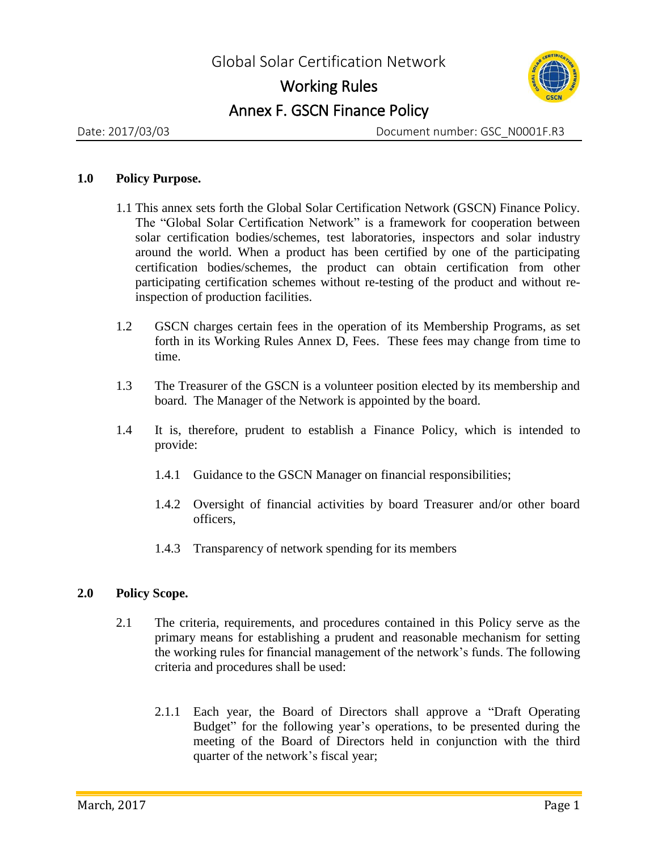## Working Rules Annex F. GSCN Finance Policy



Date: 2017/03/03 Document number: GSC\_N0001F.R3

## **1.0 Policy Purpose.**

- 1.1 This annex sets forth the Global Solar Certification Network (GSCN) Finance Policy. The "Global Solar Certification Network" is a framework for cooperation between solar certification bodies/schemes, test laboratories, inspectors and solar industry around the world. When a product has been certified by one of the participating certification bodies/schemes, the product can obtain certification from other participating certification schemes without re-testing of the product and without reinspection of production facilities.
- 1.2 GSCN charges certain fees in the operation of its Membership Programs, as set forth in its Working Rules Annex D, Fees. These fees may change from time to time.
- 1.3 The Treasurer of the GSCN is a volunteer position elected by its membership and board. The Manager of the Network is appointed by the board.
- 1.4 It is, therefore, prudent to establish a Finance Policy, which is intended to provide:
	- 1.4.1 Guidance to the GSCN Manager on financial responsibilities;
	- 1.4.2 Oversight of financial activities by board Treasurer and/or other board officers,
	- 1.4.3 Transparency of network spending for its members

## **2.0 Policy Scope.**

- 2.1 The criteria, requirements, and procedures contained in this Policy serve as the primary means for establishing a prudent and reasonable mechanism for setting the working rules for financial management of the network's funds. The following criteria and procedures shall be used:
	- 2.1.1 Each year, the Board of Directors shall approve a "Draft Operating Budget" for the following year's operations, to be presented during the meeting of the Board of Directors held in conjunction with the third quarter of the network's fiscal year;